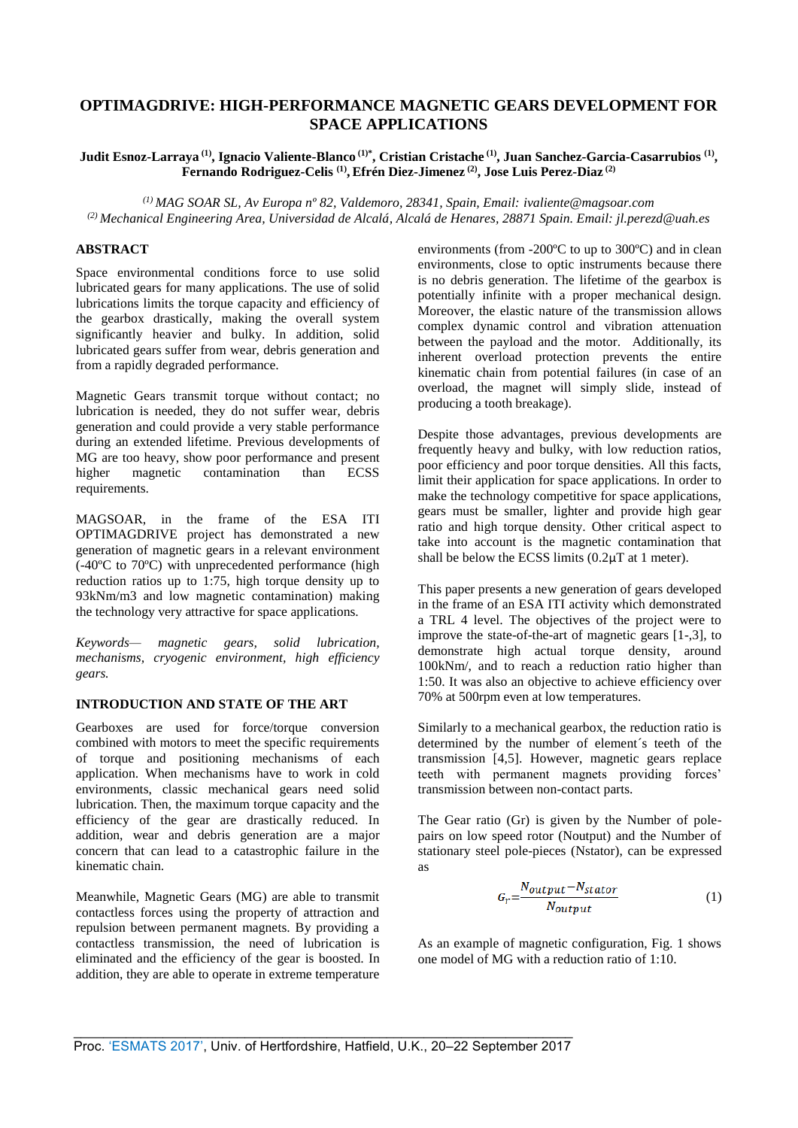# **OPTIMAGDRIVE: HIGH-PERFORMANCE MAGNETIC GEARS DEVELOPMENT FOR SPACE APPLICATIONS**

# **Judit Esnoz-Larraya (1) , Ignacio Valiente-Blanco (1)\* , Cristian Cristache (1) , Juan Sanchez-Garcia-Casarrubios (1) , Fernando Rodriguez-Celis (1) , Efrén Diez-Jimenez (2) , Jose Luis Perez-Diaz (2)**

*(1) MAG SOAR SL, Av Europa nº 82, Valdemoro, 28341, Spain, Email: ivaliente@magsoar.com (2) Mechanical Engineering Area, Universidad de Alcalá, Alcalá de Henares, 28871 Spain. Email: jl.perezd@uah.es*

### **ABSTRACT**

Space environmental conditions force to use solid lubricated gears for many applications. The use of solid lubrications limits the torque capacity and efficiency of the gearbox drastically, making the overall system significantly heavier and bulky. In addition, solid lubricated gears suffer from wear, debris generation and from a rapidly degraded performance.

Magnetic Gears transmit torque without contact; no lubrication is needed, they do not suffer wear, debris generation and could provide a very stable performance during an extended lifetime. Previous developments of MG are too heavy, show poor performance and present higher magnetic contamination than ECSS requirements.

MAGSOAR, in the frame of the ESA ITI OPTIMAGDRIVE project has demonstrated a new generation of magnetic gears in a relevant environment (-40ºC to 70ºC) with unprecedented performance (high reduction ratios up to 1:75, high torque density up to 93kNm/m3 and low magnetic contamination) making the technology very attractive for space applications.

*Keywords— magnetic gears, solid lubrication, mechanisms, cryogenic environment, high efficiency gears.* 

# **INTRODUCTION AND STATE OF THE ART**

Gearboxes are used for force/torque conversion combined with motors to meet the specific requirements of torque and positioning mechanisms of each application. When mechanisms have to work in cold environments, classic mechanical gears need solid lubrication. Then, the maximum torque capacity and the efficiency of the gear are drastically reduced. In addition, wear and debris generation are a major concern that can lead to a catastrophic failure in the kinematic chain.

Meanwhile, Magnetic Gears (MG) are able to transmit contactless forces using the property of attraction and repulsion between permanent magnets. By providing a contactless transmission, the need of lubrication is eliminated and the efficiency of the gear is boosted. In addition, they are able to operate in extreme temperature environments (from -200ºC to up to 300ºC) and in clean environments, close to optic instruments because there is no debris generation. The lifetime of the gearbox is potentially infinite with a proper mechanical design. Moreover, the elastic nature of the transmission allows complex dynamic control and vibration attenuation between the payload and the motor. Additionally, its inherent overload protection prevents the entire kinematic chain from potential failures (in case of an overload, the magnet will simply slide, instead of producing a tooth breakage).

Despite those advantages, previous developments are frequently heavy and bulky, with low reduction ratios, poor efficiency and poor torque densities. All this facts, limit their application for space applications. In order to make the technology competitive for space applications, gears must be smaller, lighter and provide high gear ratio and high torque density. Other critical aspect to take into account is the magnetic contamination that shall be below the ECSS limits  $(0.2\mu\text{T at } 1 \text{ meter})$ .

This paper presents a new generation of gears developed in the frame of an ESA ITI activity which demonstrated a TRL 4 level. The objectives of the project were to improve the state-of-the-art of magnetic gears [1-,3], to demonstrate high actual torque density, around 100kNm/, and to reach a reduction ratio higher than 1:50. It was also an objective to achieve efficiency over 70% at 500rpm even at low temperatures.

Similarly to a mechanical gearbox, the reduction ratio is determined by the number of element´s teeth of the transmission [4,5]. However, magnetic gears replace teeth with permanent magnets providing forces' transmission between non-contact parts.

The Gear ratio (Gr) is given by the Number of polepairs on low speed rotor (Noutput) and the Number of stationary steel pole-pieces (Nstator), can be expressed as

$$
G_r = \frac{N_{output} - N_{stator}}{N_{output}}\tag{1}
$$

As an example of magnetic configuration, Fig. 1 shows one model of MG with a reduction ratio of 1:10.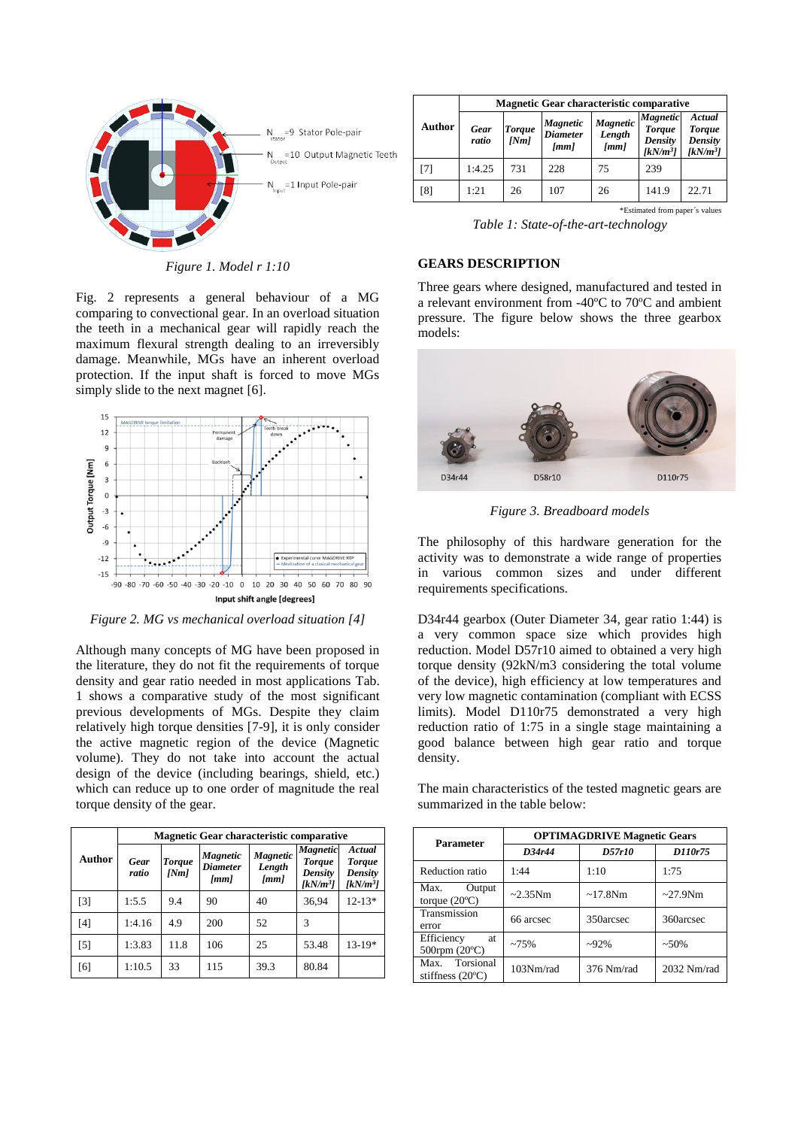

*Figure 1. Model r 1:10*

Fig. 2 represents a general behaviour of a MG comparing to convectional gear. In an overload situation the teeth in a mechanical gear will rapidly reach the maximum flexural strength dealing to an irreversibly damage. Meanwhile, MGs have an inherent overload protection. If the input shaft is forced to move MGs simply slide to the next magnet [6].



*Figure 2. MG vs mechanical overload situation [4]*

Although many concepts of MG have been proposed in the literature, they do not fit the requirements of torque density and gear ratio needed in most applications Tab. 1 shows a comparative study of the most significant previous developments of MGs. Despite they claim relatively high torque densities [7-9], it is only consider the active magnetic region of the device (Magnetic volume). They do not take into account the actual design of the device (including bearings, shield, etc.) which can reduce up to one order of magnitude the real torque density of the gear.

|                   | <b>Magnetic Gear characteristic comparative</b> |                       |                                                                   |                                                 |                                                                    |                                                                   |  |
|-------------------|-------------------------------------------------|-----------------------|-------------------------------------------------------------------|-------------------------------------------------|--------------------------------------------------------------------|-------------------------------------------------------------------|--|
| Author            | <b>Gear</b><br>ratio                            | <b>Torque</b><br>[Nm] | <i><b>Magnetic</b></i><br><b>Diameter</b><br>$\lfloor mm \rfloor$ | <b>Magnetic</b><br>Length<br>$\lceil mm \rceil$ | <b>Magnetic</b><br><b>Torque</b><br><b>Density</b><br>[ $kN/m^3$ ] | Actual<br><b>Torque</b><br><b>Density</b><br>[kN/m <sup>3</sup> ] |  |
| $\lceil 3 \rceil$ | 1:5.5                                           | 9.4                   | 90                                                                | 40                                              | 36.94                                                              | $12 - 13*$                                                        |  |
| [4]               | 1:4.16                                          | 4.9                   | 200                                                               | 52                                              | 3                                                                  |                                                                   |  |
| [5]               | 1:3.83                                          | 11.8                  | 106                                                               | 25                                              | 53.48                                                              | $13-19*$                                                          |  |
| [6]               | 1:10.5                                          | 33                    | 115                                                               | 39.3                                            | 80.84                                                              |                                                                   |  |

|        | <b>Magnetic Gear characteristic comparative</b> |                       |                                            |                                                   |                                                                  |                                                            |
|--------|-------------------------------------------------|-----------------------|--------------------------------------------|---------------------------------------------------|------------------------------------------------------------------|------------------------------------------------------------|
| Author | <b>Gear</b><br>ratio                            | <b>Torque</b><br>[Nm] | <b>Magnetic</b><br><b>Diameter</b><br>[mm] | <b>Magnetic</b><br>Length<br>$\lfloor mm \rfloor$ | <b>Magnetic</b><br><b>Torque</b><br><b>Density</b><br>$IkN/m^3I$ | Actual<br><b>Torque</b><br>Density<br>[kN/m <sup>3</sup> ] |
| [7]    | 1:4.25                                          | 731                   | 228                                        | 75                                                | 239                                                              |                                                            |
| [8]    | 1:21                                            | 26                    | 107                                        | 26                                                | 141.9                                                            | 22.71                                                      |
|        |                                                 |                       |                                            |                                                   | *Estimated from paper's values                                   |                                                            |

*Table 1: State-of-the-art-technology*

### **GEARS DESCRIPTION**

Three gears where designed, manufactured and tested in a relevant environment from -40ºC to 70ºC and ambient pressure. The figure below shows the three gearbox models:



*Figure 3. Breadboard models*

The philosophy of this hardware generation for the activity was to demonstrate a wide range of properties in various common sizes and under different requirements specifications.

D34r44 gearbox (Outer Diameter 34, gear ratio 1:44) is a very common space size which provides high reduction. Model D57r10 aimed to obtained a very high torque density (92kN/m3 considering the total volume of the device), high efficiency at low temperatures and very low magnetic contamination (compliant with ECSS limits). Model D110r75 demonstrated a very high reduction ratio of 1:75 in a single stage maintaining a good balance between high gear ratio and torque density.

The main characteristics of the tested magnetic gears are summarized in the table below:

| <b>Parameter</b>                            | <b>OPTIMAGDRIVE Magnetic Gears</b> |               |               |  |  |
|---------------------------------------------|------------------------------------|---------------|---------------|--|--|
|                                             | D34r44                             | D57r10        | D110r75       |  |  |
| Reduction ratio                             | 1:44                               | 1:10          | 1:75          |  |  |
| Max.<br>Output<br>torque $(20^{\circ}C)$    | $~2.35$ Nm                         | $\sim$ 17.8Nm | $\sim$ 27.9Nm |  |  |
| Transmission<br>error                       | 66 arcsec                          | 350arcsec     | 360arcsec     |  |  |
| Efficiency<br>at<br>500rpm $(20^{\circ}C)$  | ~275%                              | $-92\%$       | $~1.50\%$     |  |  |
| Max. Torsional<br>stiffness $(20^{\circ}C)$ | 103Nm/rad                          | 376 Nm/rad    | 2032 Nm/rad   |  |  |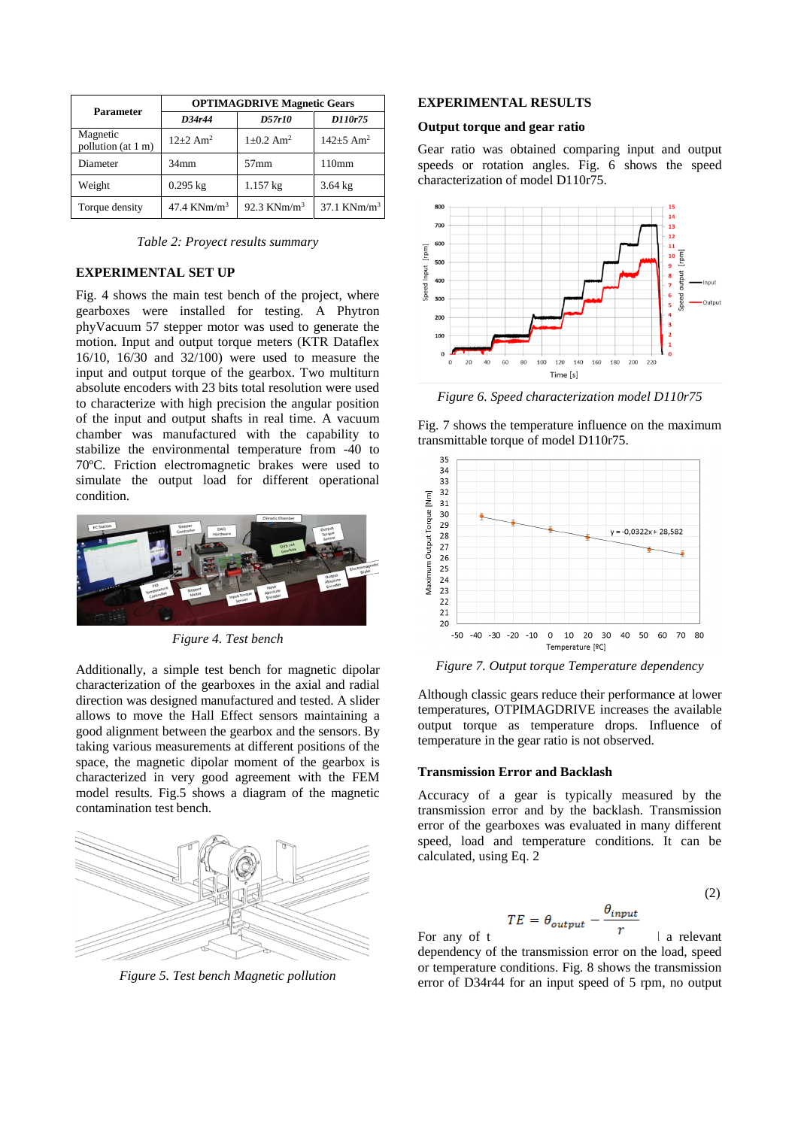| <b>Parameter</b>               | <b>OPTIMAGDRIVE Magnetic Gears</b> |                             |                             |  |  |
|--------------------------------|------------------------------------|-----------------------------|-----------------------------|--|--|
|                                | D34r44                             | D57r10                      | D110r75                     |  |  |
| Magnetic<br>pollution (at 1 m) | $12+2$ Am <sup>2</sup>             | $1 \pm 0.2$ Am <sup>2</sup> | $142 \pm 5$ Am <sup>2</sup> |  |  |
| Diameter                       | $34$ mm                            | $57$ mm                     | 110mm                       |  |  |
| Weight                         | $0.295$ kg                         | $1.157$ kg                  | $3.64$ kg                   |  |  |
| Torque density                 | 47.4 KNm/m <sup>3</sup>            | 92.3 KNm/m <sup>3</sup>     | $37.1$ KNm/m <sup>3</sup>   |  |  |

*Table 2: Proyect results summary*

# **EXPERIMENTAL SET UP**

Fig. 4 shows the main test bench of the project, where gearboxes were installed for testing. A Phytron phyVacuum 57 stepper motor was used to generate the motion. Input and output torque meters (KTR Dataflex 16/10, 16/30 and 32/100) were used to measure the input and output torque of the gearbox. Two multiturn absolute encoders with 23 bits total resolution were used to characterize with high precision the angular position of the input and output shafts in real time. A vacuum chamber was manufactured with the capability to stabilize the environmental temperature from -40 to 70ºC. Friction electromagnetic brakes were used to simulate the output load for different operational condition.



*Figure 4. Test bench*

Additionally, a simple test bench for magnetic dipolar characterization of the gearboxes in the axial and radial direction was designed manufactured and tested. A slider allows to move the Hall Effect sensors maintaining a good alignment between the gearbox and the sensors. By taking various measurements at different positions of the space, the magnetic dipolar moment of the gearbox is characterized in very good agreement with the FEM model results. Fig.5 shows a diagram of the magnetic contamination test bench.



*Figure 5. Test bench Magnetic pollution*

#### **EXPERIMENTAL RESULTS**

#### **Output torque and gear ratio**

Gear ratio was obtained comparing input and output speeds or rotation angles. Fig. 6 shows the speed characterization of model D110r75.



*Figure 6. Speed characterization model D110r75*

Fig. 7 shows the temperature influence on the maximum transmittable torque of model D110r75.



*Figure 7. Output torque Temperature dependency*

Although classic gears reduce their performance at lower temperatures, OTPIMAGDRIVE increases the available output torque as temperature drops. Influence of temperature in the gear ratio is not observed.

#### **Transmission Error and Backlash**

Accuracy of a gear is typically measured by the transmission error and by the backlash. Transmission error of the gearboxes was evaluated in many different speed, load and temperature conditions. It can be calculated, using Eq. 2

$$
TE = \theta_{output} - \frac{\theta_{input}}{r}
$$
 (2)

For any of the gearboxes it was observed a relevant dependency of the transmission error on the load, speed or temperature conditions. Fig. 8 shows the transmission error of D34r44 for an input speed of 5 rpm, no output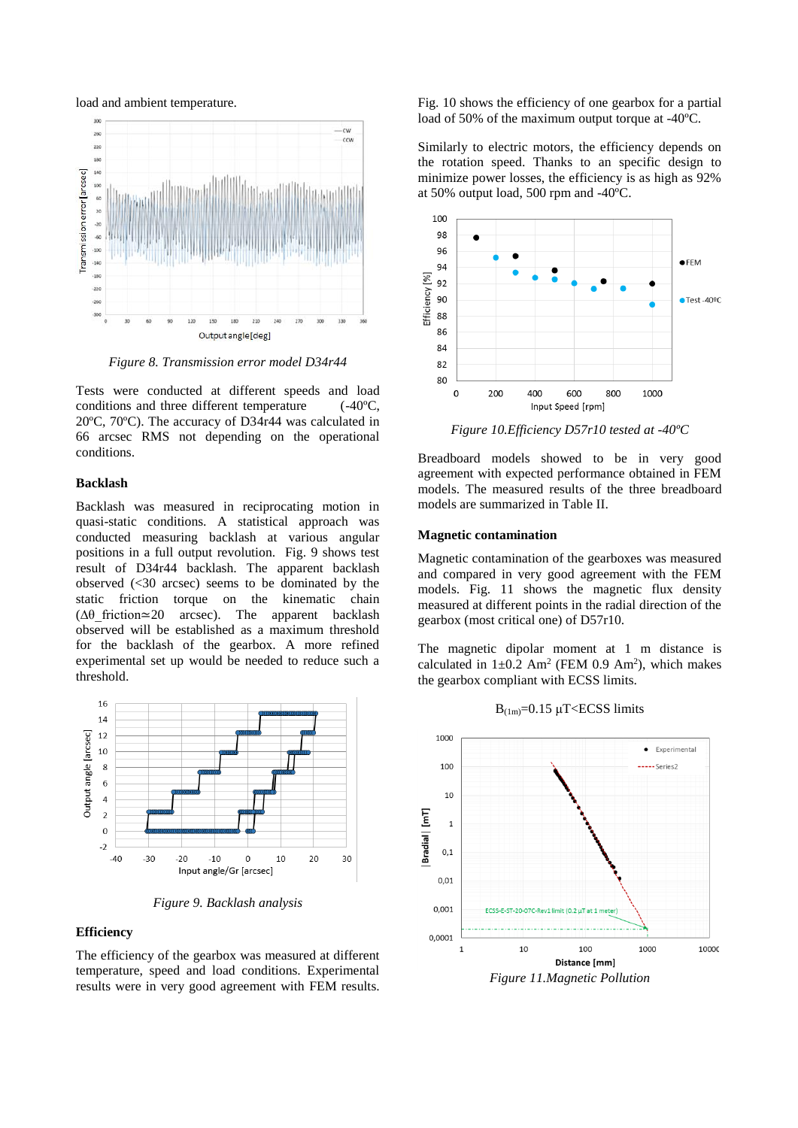load and ambient temperature.



*Figure 8. Transmission error model D34r44*

Tests were conducted at different speeds and load conditions and three different temperature (-40°C. conditions and three different temperature 20ºC, 70ºC). The accuracy of D34r44 was calculated in 66 arcsec RMS not depending on the operational conditions.

### **Backlash**

Backlash was measured in reciprocating motion in quasi-static conditions. A statistical approach was conducted measuring backlash at various angular positions in a full output revolution. Fig. 9 shows test result of D34r44 backlash. The apparent backlash observed (<30 arcsec) seems to be dominated by the static friction torque on the kinematic chain  $(Δθ$  friction≃20 arcsec). The apparent backlash observed will be established as a maximum threshold for the backlash of the gearbox. A more refined experimental set up would be needed to reduce such a threshold.



*Figure 9. Backlash analysis*

#### **Efficiency**

The efficiency of the gearbox was measured at different temperature, speed and load conditions. Experimental results were in very good agreement with FEM results.

Fig. 10 shows the efficiency of one gearbox for a partial load of 50% of the maximum output torque at -40ºC.

Similarly to electric motors, the efficiency depends on the rotation speed. Thanks to an specific design to minimize power losses, the efficiency is as high as 92% at 50% output load, 500 rpm and -40ºC.



*Figure 10.Efficiency D57r10 tested at -40ºC*

Breadboard models showed to be in very good agreement with expected performance obtained in FEM models. The measured results of the three breadboard models are summarized in Table II.

#### **Magnetic contamination**

Magnetic contamination of the gearboxes was measured and compared in very good agreement with the FEM models. Fig. 11 shows the magnetic flux density measured at different points in the radial direction of the gearbox (most critical one) of D57r10.

The magnetic dipolar moment at 1 m distance is calculated in  $1\pm 0.2$  Am<sup>2</sup> (FEM 0.9 Am<sup>2</sup>), which makes the gearbox compliant with ECSS limits.



 $B_{(1m)}=0.15 \mu$ T<ECSS limits